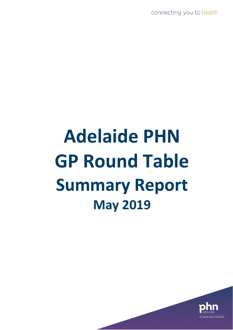connecting you to health

# **Adelaide PHN GP Round Table Summary Report May 2019**

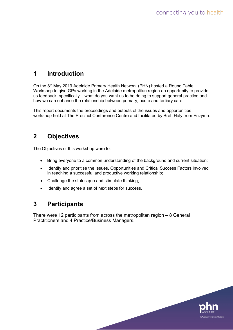## **1 Introduction**

On the 8<sup>th</sup> May 2019 Adelaide Primary Health Network (PHN) hosted a Round Table Workshop to give GPs working in the Adelaide metropolitan region an opportunity to provide us feedback, specifically – what do you want us to be doing to support general practice and how we can enhance the relationship between primary, acute and tertiary care.

This report documents the proceedings and outputs of the issues and opportunities workshop held at The Precinct Conference Centre and facilitated by Brett Haly from Enzyme.

## **2 Objectives**

The Objectives of this workshop were to:

- Bring everyone to a common understanding of the background and current situation;
- Identify and prioritise the Issues, Opportunities and Critical Success Factors involved in reaching a successful and productive working relationship;
- Challenge the status quo and stimulate thinking;
- Identify and agree a set of next steps for success.

## **3 Participants**

There were 12 participants from across the metropolitan region – 8 General Practitioners and 4 Practice/Business Managers.

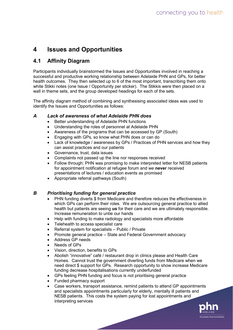# **4 Issues and Opportunities**

### **4.1 Affinity Diagram**

Participants individually brainstormed the Issues and Opportunities involved in reaching a successful and productive working relationship between Adelaide PHN and GPs, for better health outcomes. They then selected up to 6 of the most important, transcribing them onto white Stikki notes (one Issue / Opportunity per sticker). The Stikkis were then placed on a wall in theme sets, and the group developed headings for each of the sets.

The affinity diagram method of combining and synthesising associated ideas was used to identify the Issues and Opportunities as follows:

#### *A Lack of awareness of what Adelaide PHN does*

- Better understanding of Adelaide PHN functions
- Understanding the roles of personnel at Adelaide PHN
- Awareness of the programs that can be accessed by GP (South)
- Engaging with GPs, so know what PHN does or can do
- Lack of knowledge / awareness by GPs / Practices of PHN services and how they can assist practices and our patients
- Governance, trust, data issues
- Complaints not passed up the line nor responses received
- Follow through: PHN was promising to make interpreted letter for NESB patients for appointment notification at refugee forum and we **never** received presentations of lectures / education events as promised
- Appropriate referral pathways (South)

#### *B Prioritising funding for general practice*

- PHN funding diverts \$ from Medicare and therefore reduces the effectiveness in which GPs can perform their roles. We are outsourcing general practice to allied health but patients are seeing **us** for their care and we are ultimately responsible. Increase remuneration to untie our hands
- Help with funding to make radiology and specialists more affordable
- Telehealth to access specialist care
- Referral system for specialists Public / Private
- Promote general practice State and Federal Government advocacy
- Address GP needs
- Needs of GPs
- Vision, direction, benefits to GPs
- Abolish "innovative" café / restaurant drop in clinics please and Health Care Homes. Cannot trust the government diverting funds from Medicare when we need direct \$ support for GPs. Research opportunity to show increase Medicare funding decrease hospitalisations currently underfunded
- GPs feeling PHN funding and focus is not prioritising general practice
- Funded pharmacy support
- Case workers, transport assistance, remind patients to attend GP appointments and specialists appointments particularly for elderly, mentally ill patients and NESB patients. This costs the system paying for lost appointments and interpreting services

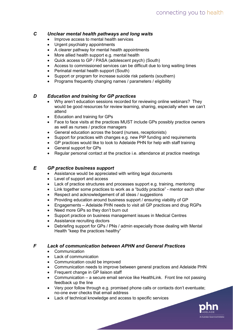#### *C Unclear mental health pathways and long waits*

- Improve access to mental health services
- Urgent psychiatry appointments
- A clearer pathway for mental health appointments
- More allied health support e.g. mental health
- Quick access to GP / PASA (adolescent psych) (South)
- Access to commissioned services can be difficult due to long waiting times
- Perinatal mental health support (South)
- Support or program for increase suicide risk patients (southern)
- Programs frequently changing names / parameters / eligibility

#### *D Education and training for GP practices*

- Why aren't education sessions recorded for reviewing online webinars? They would be good resources for review learning, sharing, especially when we can't attend
- Education and training for GPs
- Face to face visits at the practices MUST include GPs possibly practice owners as well as nurses / practice managers
- General education across the board (nurses, receptionists)
- Support for practices with changes e.g. new PIP funding and requirements
- GP practices would like to look to Adelaide PHN for help with staff training
- General support for GPs
- Regular personal contact at the practice i.e. attendance at practice meetings

#### *E GP practice business support*

- Assistance would be appreciated with writing legal documents
- Level of support and access
- Lack of practice structures and processes support e.g. training, mentoring
- Link together some practices to work as a "buddy practice" mentor each other
- Respect and acknowledgement of all ideas / suggestions
- Providing education around business support / ensuring viability of GP
- Engagements Adelaide PHN needs to visit all GP practices and drug RGPs
- Need more GPs so they don't burn out
- Support practice on business management issues in Medical Centres
- Assistance recruiting doctors
- Debriefing support for GPs / PNs / admin especially those dealing with Mental Health "keep the practices healthy"

#### *F Lack of communication between APHN and General Practices*

- Communication
- Lack of communication
- Communication could be improved
- Communication needs to improve between general practices and Adelaide PHN
- Frequent change in GP liaison staff
- Communication a secure email service like HealthLink. Front line not passing feedback up the line
- Very poor follow through e.g. promised phone calls or contacts don't eventuate; no-one ever checks that email address
- Lack of technical knowledge and access to specific services

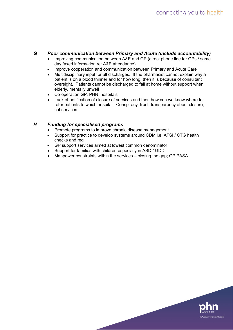#### *G Poor communication between Primary and Acute (include accountability)*

- Improving communication between A&E and GP (direct phone line for GPs / same day faxed information re: A&E attendance)
- Improve cooperation and communication between Primary and Acute Care
- Multidisciplinary input for all discharges. If the pharmacist cannot explain why a patient is on a blood thinner and for how long, then it is because of consultant oversight. Patients cannot be discharged to fail at home without support when elderly, mentally unwell
- Co-operation GP, PHN, hospitals
- Lack of notification of closure of services and then how can we know where to refer patients to which hospital. Conspiracy, trust, transparency about closure, cut services

#### *H Funding for specialised programs*

- Promote programs to improve chronic disease management
- Support for practice to develop systems around CDM i.e. ATSI / CTG health checks and reg
- GP support services aimed at lowest common denominator
- Support for families with children especially in ASD / GDD
- Manpower constraints within the services closing the gap; GP PASA

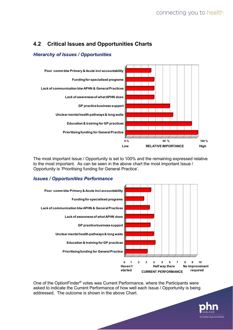## **4.2 Critical Issues and Opportunities Charts**

#### *Hierarchy of Issues / Opportunities*



The most important Issue / Opportunity is set to 100% and the remaining expressed relative to the most important. As can be seen in the above chart the most important Issue / Opportunity is 'Prioritising funding for General Practice'.

#### *Issues / Opportunities Performance*



One of the OptionFinder® votes was Current Performance, where the Participants were asked to indicate the Current Performance of how well each Issue / Opportunity is being addressed. The outcome is shown in the above Chart.